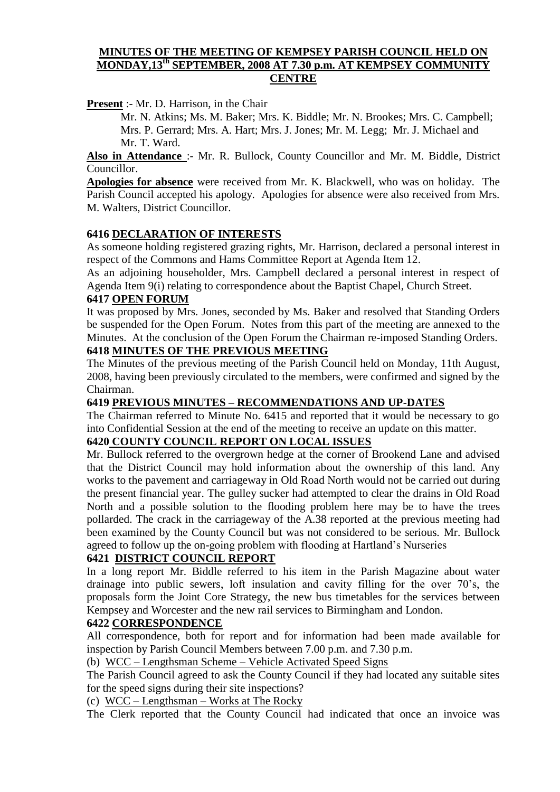### **MINUTES OF THE MEETING OF KEMPSEY PARISH COUNCIL HELD ON MONDAY,13th SEPTEMBER, 2008 AT 7.30 p.m. AT KEMPSEY COMMUNITY CENTRE**

**Present** :- Mr. D. Harrison, in the Chair

Mr. N. Atkins; Ms. M. Baker; Mrs. K. Biddle; Mr. N. Brookes; Mrs. C. Campbell; Mrs. P. Gerrard; Mrs. A. Hart; Mrs. J. Jones; Mr. M. Legg; Mr. J. Michael and Mr. T. Ward.

**Also in Attendance** :- Mr. R. Bullock, County Councillor and Mr. M. Biddle, District Councillor.

**Apologies for absence** were received from Mr. K. Blackwell, who was on holiday. The Parish Council accepted his apology. Apologies for absence were also received from Mrs. M. Walters, District Councillor.

### **6416 DECLARATION OF INTERESTS**

As someone holding registered grazing rights, Mr. Harrison, declared a personal interest in respect of the Commons and Hams Committee Report at Agenda Item 12.

As an adjoining householder, Mrs. Campbell declared a personal interest in respect of Agenda Item 9(i) relating to correspondence about the Baptist Chapel, Church Street.

#### **6417 OPEN FORUM**

It was proposed by Mrs. Jones, seconded by Ms. Baker and resolved that Standing Orders be suspended for the Open Forum. Notes from this part of the meeting are annexed to the Minutes. At the conclusion of the Open Forum the Chairman re-imposed Standing Orders. **6418 MINUTES OF THE PREVIOUS MEETING**

The Minutes of the previous meeting of the Parish Council held on Monday, 11th August, 2008, having been previously circulated to the members, were confirmed and signed by the Chairman.

### **6419 PREVIOUS MINUTES – RECOMMENDATIONS AND UP-DATES**

The Chairman referred to Minute No. 6415 and reported that it would be necessary to go into Confidential Session at the end of the meeting to receive an update on this matter.

# **6420 COUNTY COUNCIL REPORT ON LOCAL ISSUES**

Mr. Bullock referred to the overgrown hedge at the corner of Brookend Lane and advised that the District Council may hold information about the ownership of this land. Any works to the pavement and carriageway in Old Road North would not be carried out during the present financial year. The gulley sucker had attempted to clear the drains in Old Road North and a possible solution to the flooding problem here may be to have the trees pollarded. The crack in the carriageway of the A.38 reported at the previous meeting had been examined by the County Council but was not considered to be serious. Mr. Bullock agreed to follow up the on-going problem with flooding at Hartland's Nurseries

# **6421 DISTRICT COUNCIL REPORT**

In a long report Mr. Biddle referred to his item in the Parish Magazine about water drainage into public sewers, loft insulation and cavity filling for the over 70's, the proposals form the Joint Core Strategy, the new bus timetables for the services between Kempsey and Worcester and the new rail services to Birmingham and London.

#### **6422 CORRESPONDENCE**

All correspondence, both for report and for information had been made available for inspection by Parish Council Members between 7.00 p.m. and 7.30 p.m.

(b) WCC – Lengthsman Scheme – Vehicle Activated Speed Signs

The Parish Council agreed to ask the County Council if they had located any suitable sites for the speed signs during their site inspections?

(c) WCC – Lengthsman – Works at The Rocky

The Clerk reported that the County Council had indicated that once an invoice was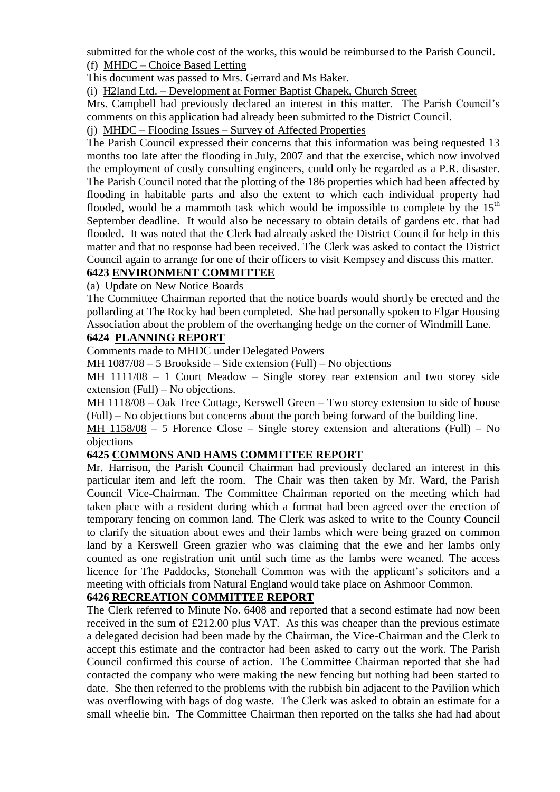submitted for the whole cost of the works, this would be reimbursed to the Parish Council. (f) MHDC – Choice Based Letting

This document was passed to Mrs. Gerrard and Ms Baker.

(i) H2land Ltd. – Development at Former Baptist Chapek, Church Street

Mrs. Campbell had previously declared an interest in this matter. The Parish Council's comments on this application had already been submitted to the District Council.

(j) MHDC – Flooding Issues – Survey of Affected Properties

The Parish Council expressed their concerns that this information was being requested 13 months too late after the flooding in July, 2007 and that the exercise, which now involved the employment of costly consulting engineers, could only be regarded as a P.R. disaster. The Parish Council noted that the plotting of the 186 properties which had been affected by flooding in habitable parts and also the extent to which each individual property had flooded, would be a mammoth task which would be impossible to complete by the  $15<sup>th</sup>$ September deadline. It would also be necessary to obtain details of gardens etc. that had flooded. It was noted that the Clerk had already asked the District Council for help in this matter and that no response had been received. The Clerk was asked to contact the District Council again to arrange for one of their officers to visit Kempsey and discuss this matter.

# **6423 ENVIRONMENT COMMITTEE**

(a) Update on New Notice Boards

The Committee Chairman reported that the notice boards would shortly be erected and the pollarding at The Rocky had been completed. She had personally spoken to Elgar Housing Association about the problem of the overhanging hedge on the corner of Windmill Lane.

### **6424 PLANNING REPORT**

Comments made to MHDC under Delegated Powers

MH 1087/08 – 5 Brookside – Side extension (Full) – No objections

MH 1111/08 – 1 Court Meadow – Single storey rear extension and two storey side extension (Full) – No objections.

MH 1118/08 – Oak Tree Cottage, Kerswell Green – Two storey extension to side of house (Full) – No objections but concerns about the porch being forward of the building line.

MH 1158/08 – 5 Florence Close – Single storey extension and alterations (Full) – No objections

# **6425 COMMONS AND HAMS COMMITTEE REPORT**

Mr. Harrison, the Parish Council Chairman had previously declared an interest in this particular item and left the room. The Chair was then taken by Mr. Ward, the Parish Council Vice-Chairman. The Committee Chairman reported on the meeting which had taken place with a resident during which a format had been agreed over the erection of temporary fencing on common land. The Clerk was asked to write to the County Council to clarify the situation about ewes and their lambs which were being grazed on common land by a Kerswell Green grazier who was claiming that the ewe and her lambs only counted as one registration unit until such time as the lambs were weaned. The access licence for The Paddocks, Stonehall Common was with the applicant's solicitors and a meeting with officials from Natural England would take place on Ashmoor Common.

# **6426 RECREATION COMMITTEE REPORT**

The Clerk referred to Minute No. 6408 and reported that a second estimate had now been received in the sum of £212.00 plus VAT. As this was cheaper than the previous estimate a delegated decision had been made by the Chairman, the Vice-Chairman and the Clerk to accept this estimate and the contractor had been asked to carry out the work. The Parish Council confirmed this course of action. The Committee Chairman reported that she had contacted the company who were making the new fencing but nothing had been started to date. She then referred to the problems with the rubbish bin adjacent to the Pavilion which was overflowing with bags of dog waste. The Clerk was asked to obtain an estimate for a small wheelie bin. The Committee Chairman then reported on the talks she had had about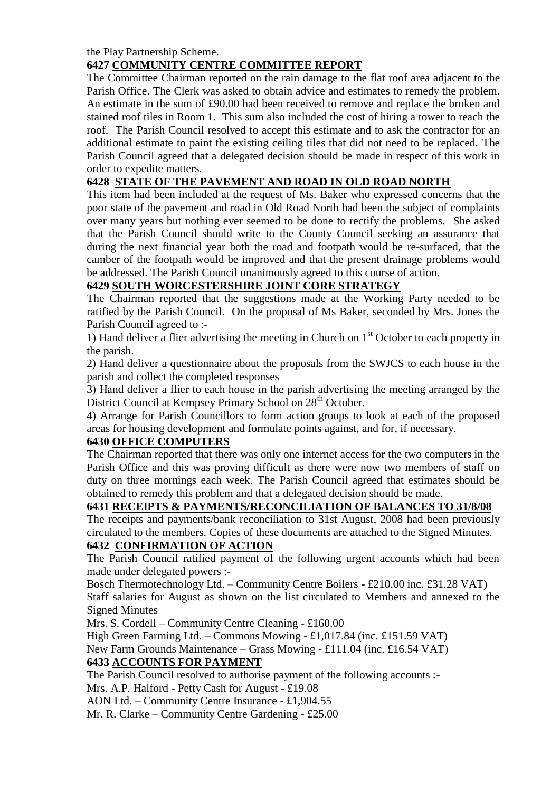the Play Partnership Scheme.

# **6427 COMMUNITY CENTRE COMMITTEE REPORT**

The Committee Chairman reported on the rain damage to the flat roof area adjacent to the Parish Office. The Clerk was asked to obtain advice and estimates to remedy the problem. An estimate in the sum of £90.00 had been received to remove and replace the broken and stained roof tiles in Room 1. This sum also included the cost of hiring a tower to reach the roof. The Parish Council resolved to accept this estimate and to ask the contractor for an additional estimate to paint the existing ceiling tiles that did not need to be replaced. The Parish Council agreed that a delegated decision should be made in respect of this work in order to expedite matters.

# **6428 STATE OF THE PAVEMENT AND ROAD IN OLD ROAD NORTH**

This item had been included at the request of Ms. Baker who expressed concerns that the poor state of the pavement and road in Old Road North had been the subject of complaints over many years but nothing ever seemed to be done to rectify the problems. She asked that the Parish Council should write to the County Council seeking an assurance that during the next financial year both the road and footpath would be re-surfaced, that the camber of the footpath would be improved and that the present drainage problems would be addressed. The Parish Council unanimously agreed to this course of action.

# **6429 SOUTH WORCESTERSHIRE JOINT CORE STRATEGY**

The Chairman reported that the suggestions made at the Working Party needed to be ratified by the Parish Council. On the proposal of Ms Baker, seconded by Mrs. Jones the Parish Council agreed to :-

1) Hand deliver a flier advertising the meeting in Church on  $1<sup>st</sup>$  October to each property in the parish.

2) Hand deliver a questionnaire about the proposals from the SWJCS to each house in the parish and collect the completed responses

3) Hand deliver a flier to each house in the parish advertising the meeting arranged by the District Council at Kempsey Primary School on 28<sup>th</sup> October.

4) Arrange for Parish Councillors to form action groups to look at each of the proposed areas for housing development and formulate points against, and for, if necessary.

# **6430 OFFICE COMPUTERS**

The Chairman reported that there was only one internet access for the two computers in the Parish Office and this was proving difficult as there were now two members of staff on duty on three mornings each week. The Parish Council agreed that estimates should be obtained to remedy this problem and that a delegated decision should be made.

# **6431 RECEIPTS & PAYMENTS/RECONCILIATION OF BALANCES TO 31/8/08**

The receipts and payments/bank reconciliation to 31st August, 2008 had been previously circulated to the members. Copies of these documents are attached to the Signed Minutes.

# **6432 CONFIRMATION OF ACTION**

The Parish Council ratified payment of the following urgent accounts which had been made under delegated powers :-

Bosch Thermotechnology Ltd. – Community Centre Boilers - £210.00 inc. £31.28 VAT)

Staff salaries for August as shown on the list circulated to Members and annexed to the Signed Minutes

Mrs. S. Cordell – Community Centre Cleaning - £160.00

High Green Farming Ltd. – Commons Mowing - £1,017.84 (inc. £151.59 VAT)

New Farm Grounds Maintenance – Grass Mowing - £111.04 (inc. £16.54 VAT)

# **6433 ACCOUNTS FOR PAYMENT**

The Parish Council resolved to authorise payment of the following accounts :-

Mrs. A.P. Halford - Petty Cash for August - £19.08

AON Ltd. – Community Centre Insurance - £1,904.55

Mr. R. Clarke – Community Centre Gardening - £25.00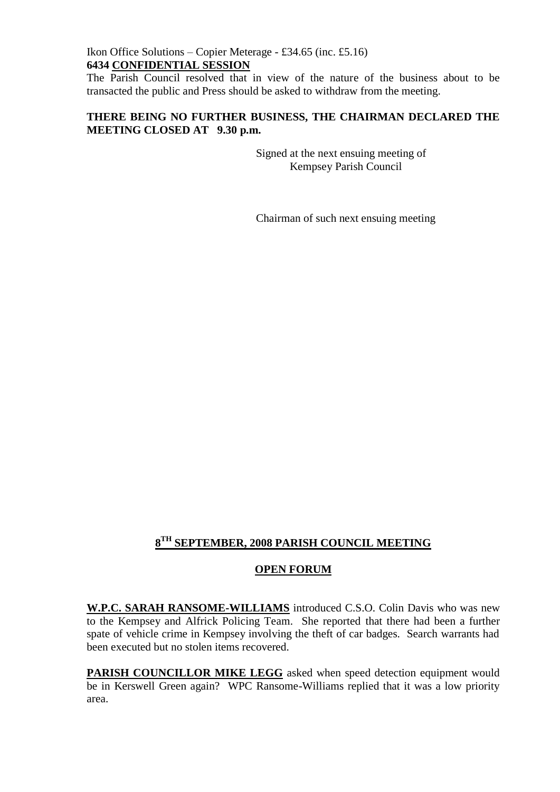### Ikon Office Solutions – Copier Meterage - £34.65 (inc. £5.16) **6434 CONFIDENTIAL SESSION**

The Parish Council resolved that in view of the nature of the business about to be transacted the public and Press should be asked to withdraw from the meeting.

# **THERE BEING NO FURTHER BUSINESS, THE CHAIRMAN DECLARED THE MEETING CLOSED AT 9.30 p.m.**

Signed at the next ensuing meeting of Kempsey Parish Council

Chairman of such next ensuing meeting

# **8 TH SEPTEMBER, 2008 PARISH COUNCIL MEETING**

# **OPEN FORUM**

**W.P.C. SARAH RANSOME-WILLIAMS** introduced C.S.O. Colin Davis who was new to the Kempsey and Alfrick Policing Team. She reported that there had been a further spate of vehicle crime in Kempsey involving the theft of car badges. Search warrants had been executed but no stolen items recovered.

**PARISH COUNCILLOR MIKE LEGG** asked when speed detection equipment would be in Kerswell Green again? WPC Ransome-Williams replied that it was a low priority area.